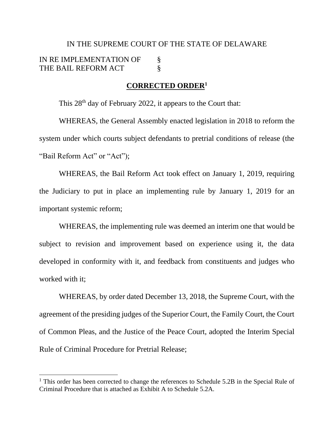# IN THE SUPREME COURT OF THE STATE OF DELAWARE IN RE IMPLEMENTATION OF § THE BAIL REFORM ACT  $\S$

#### **CORRECTED ORDER<sup>1</sup>**

This 28<sup>th</sup> day of February 2022, it appears to the Court that:

WHEREAS, the General Assembly enacted legislation in 2018 to reform the system under which courts subject defendants to pretrial conditions of release (the "Bail Reform Act" or "Act");

WHEREAS, the Bail Reform Act took effect on January 1, 2019, requiring the Judiciary to put in place an implementing rule by January 1, 2019 for an important systemic reform;

WHEREAS, the implementing rule was deemed an interim one that would be subject to revision and improvement based on experience using it, the data developed in conformity with it, and feedback from constituents and judges who worked with it;

WHEREAS, by order dated December 13, 2018, the Supreme Court, with the agreement of the presiding judges of the Superior Court, the Family Court, the Court of Common Pleas, and the Justice of the Peace Court, adopted the Interim Special Rule of Criminal Procedure for Pretrial Release;

<sup>&</sup>lt;sup>1</sup> This order has been corrected to change the references to Schedule 5.2B in the Special Rule of Criminal Procedure that is attached as Exhibit A to Schedule 5.2A.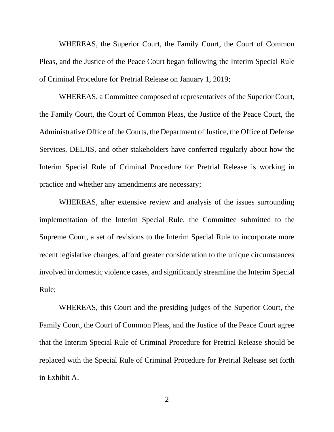WHEREAS, the Superior Court, the Family Court, the Court of Common Pleas, and the Justice of the Peace Court began following the Interim Special Rule of Criminal Procedure for Pretrial Release on January 1, 2019;

WHEREAS, a Committee composed of representatives of the Superior Court, the Family Court, the Court of Common Pleas, the Justice of the Peace Court, the Administrative Office of the Courts, the Department of Justice, the Office of Defense Services, DELJIS, and other stakeholders have conferred regularly about how the Interim Special Rule of Criminal Procedure for Pretrial Release is working in practice and whether any amendments are necessary;

WHEREAS, after extensive review and analysis of the issues surrounding implementation of the Interim Special Rule, the Committee submitted to the Supreme Court, a set of revisions to the Interim Special Rule to incorporate more recent legislative changes, afford greater consideration to the unique circumstances involved in domestic violence cases, and significantly streamline the Interim Special Rule;

WHEREAS, this Court and the presiding judges of the Superior Court, the Family Court, the Court of Common Pleas, and the Justice of the Peace Court agree that the Interim Special Rule of Criminal Procedure for Pretrial Release should be replaced with the Special Rule of Criminal Procedure for Pretrial Release set forth in Exhibit A.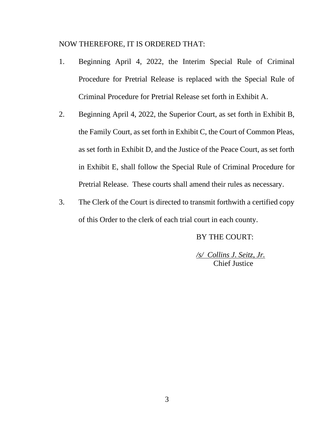#### NOW THEREFORE, IT IS ORDERED THAT:

- 1. Beginning April 4, 2022, the Interim Special Rule of Criminal Procedure for Pretrial Release is replaced with the Special Rule of Criminal Procedure for Pretrial Release set forth in Exhibit A.
- 2. Beginning April 4, 2022, the Superior Court, as set forth in Exhibit B, the Family Court, as set forth in Exhibit C, the Court of Common Pleas, as set forth in Exhibit D, and the Justice of the Peace Court, as set forth in Exhibit E, shall follow the Special Rule of Criminal Procedure for Pretrial Release. These courts shall amend their rules as necessary.
- 3. The Clerk of the Court is directed to transmit forthwith a certified copy of this Order to the clerk of each trial court in each county.

#### BY THE COURT:

*/s/ Collins J. Seitz, Jr.* Chief Justice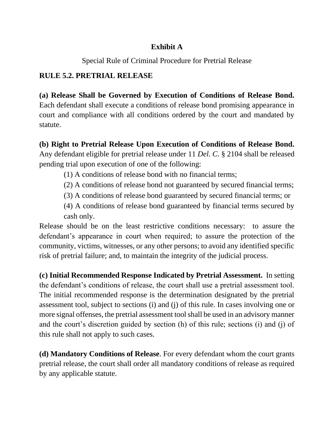## **Exhibit A**

Special Rule of Criminal Procedure for Pretrial Release

## **RULE 5.2. PRETRIAL RELEASE**

**(a) Release Shall be Governed by Execution of Conditions of Release Bond.**  Each defendant shall execute a conditions of release bond promising appearance in court and compliance with all conditions ordered by the court and mandated by statute.

**(b) Right to Pretrial Release Upon Execution of Conditions of Release Bond.** Any defendant eligible for pretrial release under 11 *Del. C.* [§ 2104](https://1.next.westlaw.com/Link/Document/FullText?findType=L&pubNum=1000005&cite=DESTT11S2103&originatingDoc=N5F031270148A11E98102C6CD5080735B&refType=LQ&originationContext=document&transitionType=DocumentItem&contextData=(sc.Default)) shall be released pending trial upon execution of one of the following:

- (1) A conditions of release bond with no financial terms;
- (2) A conditions of release bond not guaranteed by secured financial terms;
- (3) A conditions of release bond guaranteed by secured financial terms; or
- (4) A conditions of release bond guaranteed by financial terms secured by cash only.

Release should be on the least restrictive conditions necessary: to assure the defendant's appearance in court when required; to assure the protection of the community, victims, witnesses, or any other persons; to avoid any identified specific risk of pretrial failure; and, to maintain the integrity of the judicial process.

**(c) Initial Recommended Response Indicated by Pretrial Assessment.** In setting the defendant's conditions of release, the court shall use a pretrial assessment tool. The initial recommended response is the determination designated by the pretrial assessment tool, subject to sections (i) and (j) of this rule. In cases involving one or more signal offenses, the pretrial assessment tool shall be used in an advisory manner and the court's discretion guided by section (h) of this rule; sections (i) and (j) of this rule shall not apply to such cases.

**(d) Mandatory Conditions of Release**. For every defendant whom the court grants pretrial release, the court shall order all mandatory conditions of release as required by any applicable statute.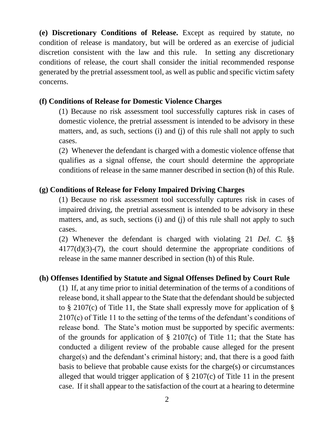**(e) Discretionary Conditions of Release.** Except as required by statute, no condition of release is mandatory, but will be ordered as an exercise of judicial discretion consistent with the law and this rule. In setting any discretionary conditions of release, the court shall consider the initial recommended response generated by the pretrial assessment tool, as well as public and specific victim safety concerns.

### **(f) Conditions of Release for Domestic Violence Charges**

(1) Because no risk assessment tool successfully captures risk in cases of domestic violence, the pretrial assessment is intended to be advisory in these matters, and, as such, sections (i) and (j) of this rule shall not apply to such cases.

(2) Whenever the defendant is charged with a domestic violence offense that qualifies as a signal offense, the court should determine the appropriate conditions of release in the same manner described in section (h) of this Rule.

#### **(g) Conditions of Release for Felony Impaired Driving Charges**

(1) Because no risk assessment tool successfully captures risk in cases of impaired driving, the pretrial assessment is intended to be advisory in these matters, and, as such, sections (i) and (j) of this rule shall not apply to such cases.

 (2) Whenever the defendant is charged with violating 21 *Del. C.* §§ 4177(d)(3)-(7), the court should determine the appropriate conditions of release in the same manner described in section (h) of this Rule.

### **(h) Offenses Identified by Statute and Signal Offenses Defined by Court Rule**

(1) If, at any time prior to initial determination of the terms of a conditions of release bond, it shall appear to the State that the defendant should be subjected to  $\S$  2107(c) of Title 11, the State shall expressly move for application of  $\S$ 2107(c) of Title 11 to the setting of the terms of the defendant's conditions of release bond. The State's motion must be supported by specific averments: of the grounds for application of  $\S$  2107(c) of Title 11; that the State has conducted a diligent review of the probable cause alleged for the present charge(s) and the defendant's criminal history; and, that there is a good faith basis to believe that probable cause exists for the charge(s) or circumstances alleged that would trigger application of § 2107(c) of Title 11 in the present case.If it shall appear to the satisfaction of the court at a hearing to determine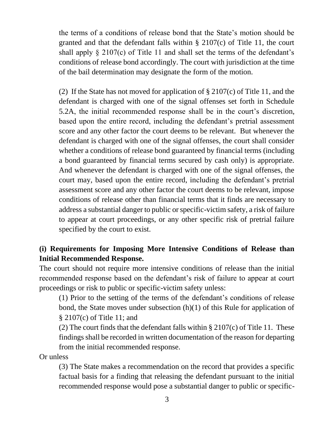the terms of a conditions of release bond that the State's motion should be granted and that the defendant falls within § 2107(c) of Title 11, the court shall apply  $\S$  2107(c) of Title 11 and shall set the terms of the defendant's conditions of release bond accordingly. The court with jurisdiction at the time of the bail determination may designate the form of the motion.

(2) If the State has not moved for application of  $\S 2107(c)$  of Title 11, and the defendant is charged with one of the signal offenses set forth in Schedule 5.2A, the initial recommended response shall be in the court's discretion, based upon the entire record, including the defendant's pretrial assessment score and any other factor the court deems to be relevant. But whenever the defendant is charged with one of the signal offenses, the court shall consider whether a conditions of release bond guaranteed by financial terms (including a bond guaranteed by financial terms secured by cash only) is appropriate. And whenever the defendant is charged with one of the signal offenses, the court may, based upon the entire record, including the defendant's pretrial assessment score and any other factor the court deems to be relevant, impose conditions of release other than financial terms that it finds are necessary to address a substantial danger to public or specific-victim safety, a risk of failure to appear at court proceedings, or any other specific risk of pretrial failure specified by the court to exist.

## **(i) Requirements for Imposing More Intensive Conditions of Release than Initial Recommended Response.**

The court should not require more intensive conditions of release than the initial recommended response based on the defendant's risk of failure to appear at court proceedings or risk to public or specific-victim safety unless:

(1) Prior to the setting of the terms of the defendant's conditions of release bond, the State moves under subsection (h)(1) of this Rule for application of § 2107(c) of Title 11; and

(2) The court finds that the defendant falls within  $\S 2107(c)$  of Title 11. These findings shall be recorded in written documentation of the reason for departing from the initial recommended response.

Or unless

(3) The State makes a recommendation on the record that provides a specific factual basis for a finding that releasing the defendant pursuant to the initial recommended response would pose a substantial danger to public or specific-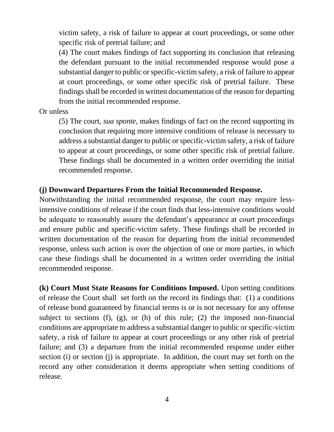victim safety, a risk of failure to appear at court proceedings, or some other specific risk of pretrial failure; and

(4) The court makes findings of fact supporting its conclusion that releasing the defendant pursuant to the initial recommended response would pose a substantial danger to public or specific-victim safety, a risk of failure to appear at court proceedings, or some other specific risk of pretrial failure. These findings shall be recorded in written documentation of the reason for departing from the initial recommended response.

Or unless

(5) The court, *sua sponte*, makes findings of fact on the record supporting its conclusion that requiring more intensive conditions of release is necessary to address a substantial danger to public or specific-victim safety, a risk of failure to appear at court proceedings, or some other specific risk of pretrial failure. These findings shall be documented in a written order overriding the initial recommended response.

### **(j) Downward Departures From the Initial Recommended Response.**

Notwithstanding the initial recommended response, the court may require lessintensive conditions of release if the court finds that less-intensive conditions would be adequate to reasonably assure the defendant's appearance at court proceedings and ensure public and specific-victim safety. These findings shall be recorded in written documentation of the reason for departing from the initial recommended response, unless such action is over the objection of one or more parties, in which case these findings shall be documented in a written order overriding the initial recommended response.

**(k) Court Must State Reasons for Conditions Imposed.** Upon setting conditions of release the Court shall set forth on the record its findings that: (1) a conditions of release bond guaranteed by financial terms is or is not necessary for any offense subject to sections (f), (g), or (h) of this rule; (2) the imposed non-financial conditions are appropriate to address a substantial danger to public or specific-victim safety, a risk of failure to appear at court proceedings or any other risk of pretrial failure; and (3) a departure from the initial recommended response under either section (i) or section (j) is appropriate. In addition, the court may set forth on the record any other consideration it deems appropriate when setting conditions of release.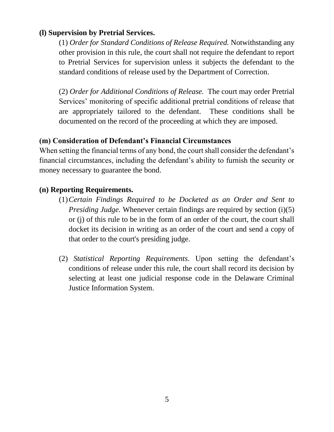## **(l) Supervision by Pretrial Services.**

(1) *Order for Standard Conditions of Release Required.* Notwithstanding any other provision in this rule, the court shall not require the defendant to report to Pretrial Services for supervision unless it subjects the defendant to the standard conditions of release used by the Department of Correction.

(2) *Order for Additional Conditions of Release.* The court may order Pretrial Services' monitoring of specific additional pretrial conditions of release that are appropriately tailored to the defendant. These conditions shall be documented on the record of the proceeding at which they are imposed.

## **(m) Consideration of Defendant's Financial Circumstances**

When setting the financial terms of any bond, the court shall consider the defendant's financial circumstances, including the defendant's ability to furnish the security or money necessary to guarantee the bond.

### **(n) Reporting Requirements.**

- (1)*Certain Findings Required to be Docketed as an Order and Sent to Presiding Judge.* Whenever certain findings are required by section (i)(5) or (j) of this rule to be in the form of an order of the court, the court shall docket its decision in writing as an order of the court and send a copy of that order to the court's presiding judge.
- (2) *Statistical Reporting Requirements.* Upon setting the defendant's conditions of release under this rule, the court shall record its decision by selecting at least one judicial response code in the Delaware Criminal Justice Information System.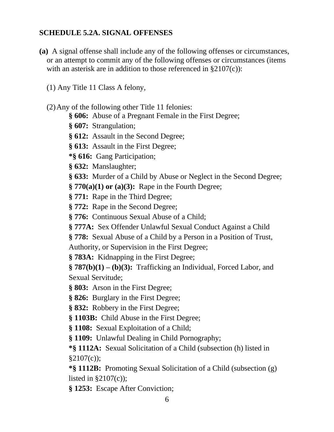## **SCHEDULE 5.2A. SIGNAL OFFENSES**

- **(a)** A signal offense shall include any of the following offenses or circumstances, or an attempt to commit any of the following offenses or circumstances (items with an asterisk are in addition to those referenced in §2107(c)):
	- (1) Any Title 11 Class A felony,
	- (2)Any of the following other Title 11 felonies:
		- **§ 606:** Abuse of a Pregnant Female in the First Degree;
		- **§ 607:** Strangulation;
		- **§ 612:** Assault in the Second Degree;
		- **§ 613:** Assault in the First Degree;
		- **\*§ 616:** Gang Participation;
		- **§ 632:** Manslaughter;
		- **§ 633:** Murder of a Child by Abuse or Neglect in the Second Degree;
		- **§ 770(a)(1) or (a)(3):** Rape in the Fourth Degree;
		- **§ 771:** Rape in the Third Degree;
		- **§ 772:** Rape in the Second Degree;
		- **§ 776:** Continuous Sexual Abuse of a Child;
		- **§ 777A:** Sex Offender Unlawful Sexual Conduct Against a Child
		- **§ 778:** Sexual Abuse of a Child by a Person in a Position of Trust,
		- Authority, or Supervision in the First Degree;
		- **§ 783A:** Kidnapping in the First Degree;
		- **§ 787(b)(1)** *–* **(b)(3):** Trafficking an Individual, Forced Labor, and Sexual Servitude;
		- **§ 803:** Arson in the First Degree;
		- **§ 826:** Burglary in the First Degree;
		- **§ 832:** Robbery in the First Degree;
		- **§ 1103B:** Child Abuse in the First Degree;
		- **§ 1108:** Sexual Exploitation of a Child;
		- **§ 1109:** Unlawful Dealing in Child Pornography;
		- **\*§ 1112A:** Sexual Solicitation of a Child (subsection (h) listed in  $§2107(c)$ ;
		- **\*§ 1112B:** Promoting Sexual Solicitation of a Child (subsection (g) listed in  $\S2107(c)$ ;
		- **§ 1253:** Escape After Conviction;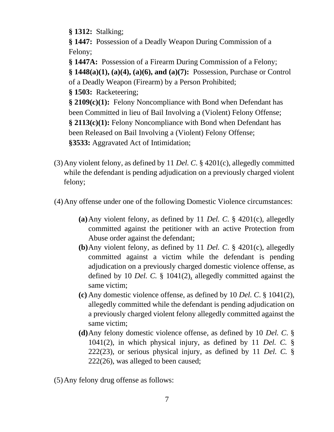**§ 1312:** Stalking;

**§ 1447:** Possession of a Deadly Weapon During Commission of a Felony;

**§ 1447A:** Possession of a Firearm During Commission of a Felony;

**§ 1448(a)(1), (a)(4), (a)(6), and (a)(7):** Possession, Purchase or Control of a Deadly Weapon (Firearm) by a Person Prohibited;

**§ 1503:** Racketeering;

**§ 2109(c)(1):** Felony Noncompliance with Bond when Defendant has been Committed in lieu of Bail Involving a (Violent) Felony Offense; **§ 2113(c)(1):** Felony Noncompliance with Bond when Defendant has been Released on Bail Involving a (Violent) Felony Offense; **§3533:** Aggravated Act of Intimidation;

- (3)Any violent felony, as defined by 11 *Del. C*. § 4201(c), allegedly committed while the defendant is pending adjudication on a previously charged violent felony;
- (4)Any offense under one of the following Domestic Violence circumstances:
	- **(a)**Any violent felony, as defined by 11 *Del. C*. § 4201(c), allegedly committed against the petitioner with an active Protection from Abuse order against the defendant;
	- **(b)**Any violent felony, as defined by 11 *Del. C*. § 4201(c), allegedly committed against a victim while the defendant is pending adjudication on a previously charged domestic violence offense, as defined by 10 *Del. C.* § 1041(2), allegedly committed against the same victim;
	- **(c)** Any domestic violence offense, as defined by 10 *Del. C*. § 1041(2), allegedly committed while the defendant is pending adjudication on a previously charged violent felony allegedly committed against the same victim;
	- **(d)**Any felony domestic violence offense, as defined by 10 *Del. C*. § 1041(2), in which physical injury, as defined by 11 *Del. C.* § 222(23), or serious physical injury, as defined by 11 *Del. C.* § 222(26), was alleged to been caused;

(5)Any felony drug offense as follows: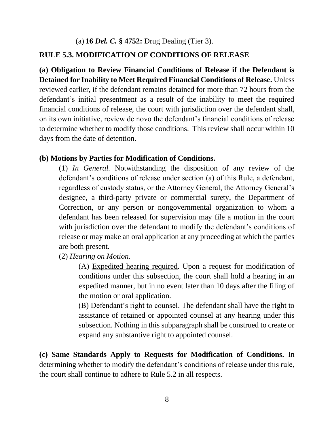(a) **16** *Del. C.* **§ 4752:** Drug Dealing (Tier 3).

#### **RULE 5.3. MODIFICATION OF CONDITIONS OF RELEASE**

**(a) Obligation to Review Financial Conditions of Release if the Defendant is Detained for Inability to Meet Required Financial Conditions of Release.** Unless reviewed earlier, if the defendant remains detained for more than 72 hours from the defendant's initial presentment as a result of the inability to meet the required financial conditions of release, the court with jurisdiction over the defendant shall, on its own initiative, review de novo the defendant's financial conditions of release to determine whether to modify those conditions. This review shall occur within 10 days from the date of detention.

#### **(b) Motions by Parties for Modification of Conditions.**

(1) *In General.* Notwithstanding the disposition of any review of the defendant's conditions of release under section (a) of this Rule, a defendant, regardless of custody status, or the Attorney General, the Attorney General's designee, a third-party private or commercial surety, the Department of Correction, or any person or nongovernmental organization to whom a defendant has been released for supervision may file a motion in the court with jurisdiction over the defendant to modify the defendant's conditions of release or may make an oral application at any proceeding at which the parties are both present.

(2) *Hearing on Motion.*

(A) Expedited hearing required. Upon a request for modification of conditions under this subsection, the court shall hold a hearing in an expedited manner, but in no event later than 10 days after the filing of the motion or oral application.

(B) Defendant's right to counsel. The defendant shall have the right to assistance of retained or appointed counsel at any hearing under this subsection. Nothing in this subparagraph shall be construed to create or expand any substantive right to appointed counsel.

**(c) Same Standards Apply to Requests for Modification of Conditions.** In determining whether to modify the defendant's conditions of release under this rule, the court shall continue to adhere to Rule 5.2 in all respects.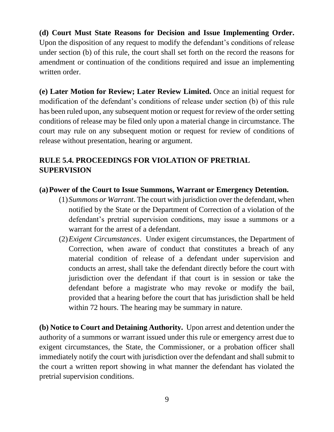**(d) Court Must State Reasons for Decision and Issue Implementing Order.** Upon the disposition of any request to modify the defendant's conditions of release under section (b) of this rule, the court shall set forth on the record the reasons for amendment or continuation of the conditions required and issue an implementing written order.

**(e) Later Motion for Review; Later Review Limited.** Once an initial request for modification of the defendant's conditions of release under section (b) of this rule has been ruled upon, any subsequent motion or request for review of the order setting conditions of release may be filed only upon a material change in circumstance. The court may rule on any subsequent motion or request for review of conditions of release without presentation, hearing or argument.

## **RULE 5.4. PROCEEDINGS FOR VIOLATION OF PRETRIAL SUPERVISION**

### **(a)Power of the Court to Issue Summons, Warrant or Emergency Detention.**

- (1)*Summons or Warrant*. The court with jurisdiction over the defendant, when notified by the State or the Department of Correction of a violation of the defendant's pretrial supervision conditions, may issue a summons or a warrant for the arrest of a defendant.
- (2)*Exigent Circumstances*. Under exigent circumstances, the Department of Correction, when aware of conduct that constitutes a breach of any material condition of release of a defendant under supervision and conducts an arrest, shall take the defendant directly before the court with jurisdiction over the defendant if that court is in session or take the defendant before a magistrate who may revoke or modify the bail, provided that a hearing before the court that has jurisdiction shall be held within 72 hours. The hearing may be summary in nature.

**(b) Notice to Court and Detaining Authority.** Upon arrest and detention under the authority of a summons or warrant issued under this rule or emergency arrest due to exigent circumstances, the State, the Commissioner, or a probation officer shall immediately notify the court with jurisdiction over the defendant and shall submit to the court a written report showing in what manner the defendant has violated the pretrial supervision conditions.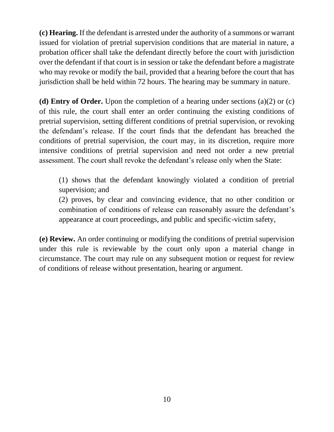**(c) Hearing.** If the defendant is arrested under the authority of a summons or warrant issued for violation of pretrial supervision conditions that are material in nature, a probation officer shall take the defendant directly before the court with jurisdiction over the defendant if that court is in session or take the defendant before a magistrate who may revoke or modify the bail, provided that a hearing before the court that has jurisdiction shall be held within 72 hours. The hearing may be summary in nature.

**(d) Entry of Order.** Upon the completion of a hearing under sections (a)(2) or (c) of this rule, the court shall enter an order continuing the existing conditions of pretrial supervision, setting different conditions of pretrial supervision, or revoking the defendant's release. If the court finds that the defendant has breached the conditions of pretrial supervision, the court may, in its discretion, require more intensive conditions of pretrial supervision and need not order a new pretrial assessment. The court shall revoke the defendant's release only when the State:

(1) shows that the defendant knowingly violated a condition of pretrial supervision; and

(2) proves, by clear and convincing evidence, that no other condition or combination of conditions of release can reasonably assure the defendant's appearance at court proceedings, and public and specific-victim safety,

**(e) Review.** An order continuing or modifying the conditions of pretrial supervision under this rule is reviewable by the court only upon a material change in circumstance. The court may rule on any subsequent motion or request for review of conditions of release without presentation, hearing or argument.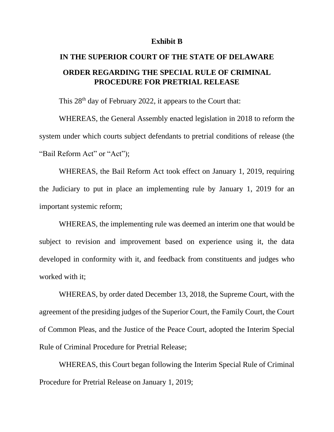#### **Exhibit B**

# **IN THE SUPERIOR COURT OF THE STATE OF DELAWARE ORDER REGARDING THE SPECIAL RULE OF CRIMINAL PROCEDURE FOR PRETRIAL RELEASE**

This 28<sup>th</sup> day of February 2022, it appears to the Court that:

WHEREAS, the General Assembly enacted legislation in 2018 to reform the system under which courts subject defendants to pretrial conditions of release (the "Bail Reform Act" or "Act");

WHEREAS, the Bail Reform Act took effect on January 1, 2019, requiring the Judiciary to put in place an implementing rule by January 1, 2019 for an important systemic reform;

WHEREAS, the implementing rule was deemed an interim one that would be subject to revision and improvement based on experience using it, the data developed in conformity with it, and feedback from constituents and judges who worked with it;

WHEREAS, by order dated December 13, 2018, the Supreme Court, with the agreement of the presiding judges of the Superior Court, the Family Court, the Court of Common Pleas, and the Justice of the Peace Court, adopted the Interim Special Rule of Criminal Procedure for Pretrial Release;

WHEREAS, this Court began following the Interim Special Rule of Criminal Procedure for Pretrial Release on January 1, 2019;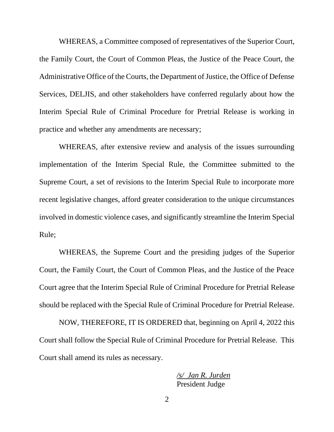WHEREAS, a Committee composed of representatives of the Superior Court, the Family Court, the Court of Common Pleas, the Justice of the Peace Court, the Administrative Office of the Courts, the Department of Justice, the Office of Defense Services, DELJIS, and other stakeholders have conferred regularly about how the Interim Special Rule of Criminal Procedure for Pretrial Release is working in practice and whether any amendments are necessary;

WHEREAS, after extensive review and analysis of the issues surrounding implementation of the Interim Special Rule, the Committee submitted to the Supreme Court, a set of revisions to the Interim Special Rule to incorporate more recent legislative changes, afford greater consideration to the unique circumstances involved in domestic violence cases, and significantly streamline the Interim Special Rule;

WHEREAS, the Supreme Court and the presiding judges of the Superior Court, the Family Court, the Court of Common Pleas, and the Justice of the Peace Court agree that the Interim Special Rule of Criminal Procedure for Pretrial Release should be replaced with the Special Rule of Criminal Procedure for Pretrial Release.

NOW, THEREFORE, IT IS ORDERED that, beginning on April 4, 2022 this Court shall follow the Special Rule of Criminal Procedure for Pretrial Release. This Court shall amend its rules as necessary.

> */s/ Jan R. Jurden* President Judge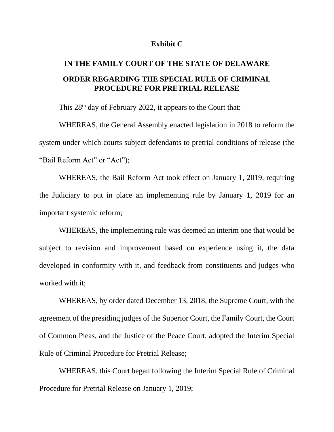#### **Exhibit C**

# **IN THE FAMILY COURT OF THE STATE OF DELAWARE ORDER REGARDING THE SPECIAL RULE OF CRIMINAL PROCEDURE FOR PRETRIAL RELEASE**

This 28<sup>th</sup> day of February 2022, it appears to the Court that:

WHEREAS, the General Assembly enacted legislation in 2018 to reform the system under which courts subject defendants to pretrial conditions of release (the "Bail Reform Act" or "Act");

WHEREAS, the Bail Reform Act took effect on January 1, 2019, requiring the Judiciary to put in place an implementing rule by January 1, 2019 for an important systemic reform;

WHEREAS, the implementing rule was deemed an interim one that would be subject to revision and improvement based on experience using it, the data developed in conformity with it, and feedback from constituents and judges who worked with it;

WHEREAS, by order dated December 13, 2018, the Supreme Court, with the agreement of the presiding judges of the Superior Court, the Family Court, the Court of Common Pleas, and the Justice of the Peace Court, adopted the Interim Special Rule of Criminal Procedure for Pretrial Release;

WHEREAS, this Court began following the Interim Special Rule of Criminal Procedure for Pretrial Release on January 1, 2019;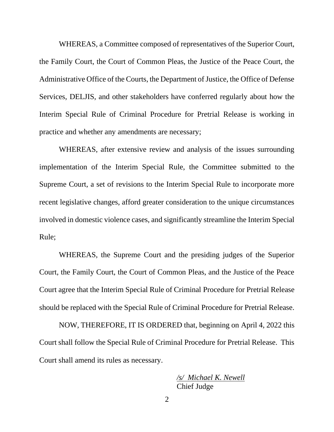WHEREAS, a Committee composed of representatives of the Superior Court, the Family Court, the Court of Common Pleas, the Justice of the Peace Court, the Administrative Office of the Courts, the Department of Justice, the Office of Defense Services, DELJIS, and other stakeholders have conferred regularly about how the Interim Special Rule of Criminal Procedure for Pretrial Release is working in practice and whether any amendments are necessary;

WHEREAS, after extensive review and analysis of the issues surrounding implementation of the Interim Special Rule, the Committee submitted to the Supreme Court, a set of revisions to the Interim Special Rule to incorporate more recent legislative changes, afford greater consideration to the unique circumstances involved in domestic violence cases, and significantly streamline the Interim Special Rule;

WHEREAS, the Supreme Court and the presiding judges of the Superior Court, the Family Court, the Court of Common Pleas, and the Justice of the Peace Court agree that the Interim Special Rule of Criminal Procedure for Pretrial Release should be replaced with the Special Rule of Criminal Procedure for Pretrial Release.

NOW, THEREFORE, IT IS ORDERED that, beginning on April 4, 2022 this Court shall follow the Special Rule of Criminal Procedure for Pretrial Release. This Court shall amend its rules as necessary.

> */s/ Michael K. Newell* Chief Judge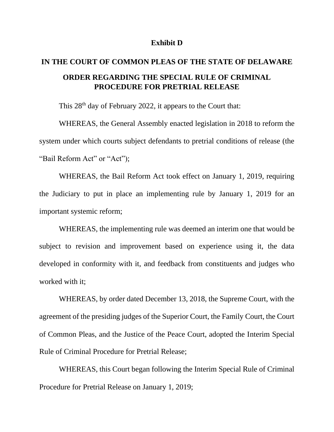#### **Exhibit D**

# **IN THE COURT OF COMMON PLEAS OF THE STATE OF DELAWARE ORDER REGARDING THE SPECIAL RULE OF CRIMINAL PROCEDURE FOR PRETRIAL RELEASE**

This  $28<sup>th</sup>$  day of February 2022, it appears to the Court that:

WHEREAS, the General Assembly enacted legislation in 2018 to reform the system under which courts subject defendants to pretrial conditions of release (the "Bail Reform Act" or "Act");

WHEREAS, the Bail Reform Act took effect on January 1, 2019, requiring the Judiciary to put in place an implementing rule by January 1, 2019 for an important systemic reform;

WHEREAS, the implementing rule was deemed an interim one that would be subject to revision and improvement based on experience using it, the data developed in conformity with it, and feedback from constituents and judges who worked with it;

WHEREAS, by order dated December 13, 2018, the Supreme Court, with the agreement of the presiding judges of the Superior Court, the Family Court, the Court of Common Pleas, and the Justice of the Peace Court, adopted the Interim Special Rule of Criminal Procedure for Pretrial Release;

WHEREAS, this Court began following the Interim Special Rule of Criminal Procedure for Pretrial Release on January 1, 2019;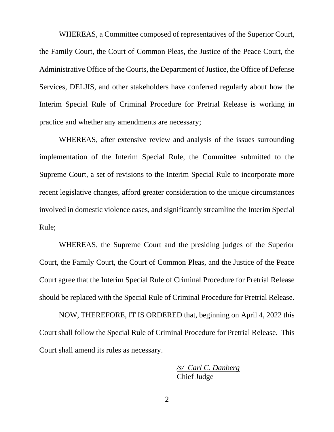WHEREAS, a Committee composed of representatives of the Superior Court, the Family Court, the Court of Common Pleas, the Justice of the Peace Court, the Administrative Office of the Courts, the Department of Justice, the Office of Defense Services, DELJIS, and other stakeholders have conferred regularly about how the Interim Special Rule of Criminal Procedure for Pretrial Release is working in practice and whether any amendments are necessary;

WHEREAS, after extensive review and analysis of the issues surrounding implementation of the Interim Special Rule, the Committee submitted to the Supreme Court, a set of revisions to the Interim Special Rule to incorporate more recent legislative changes, afford greater consideration to the unique circumstances involved in domestic violence cases, and significantly streamline the Interim Special Rule;

WHEREAS, the Supreme Court and the presiding judges of the Superior Court, the Family Court, the Court of Common Pleas, and the Justice of the Peace Court agree that the Interim Special Rule of Criminal Procedure for Pretrial Release should be replaced with the Special Rule of Criminal Procedure for Pretrial Release.

NOW, THEREFORE, IT IS ORDERED that, beginning on April 4, 2022 this Court shall follow the Special Rule of Criminal Procedure for Pretrial Release. This Court shall amend its rules as necessary.

> */s/ Carl C. Danberg* Chief Judge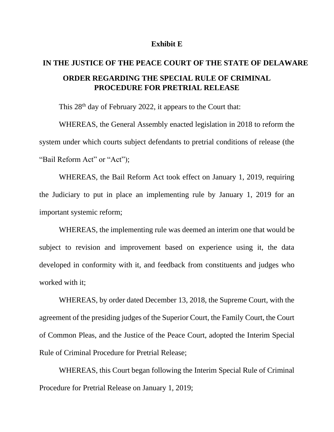#### **Exhibit E**

# **IN THE JUSTICE OF THE PEACE COURT OF THE STATE OF DELAWARE ORDER REGARDING THE SPECIAL RULE OF CRIMINAL PROCEDURE FOR PRETRIAL RELEASE**

This 28<sup>th</sup> day of February 2022, it appears to the Court that:

WHEREAS, the General Assembly enacted legislation in 2018 to reform the system under which courts subject defendants to pretrial conditions of release (the "Bail Reform Act" or "Act");

WHEREAS, the Bail Reform Act took effect on January 1, 2019, requiring the Judiciary to put in place an implementing rule by January 1, 2019 for an important systemic reform;

WHEREAS, the implementing rule was deemed an interim one that would be subject to revision and improvement based on experience using it, the data developed in conformity with it, and feedback from constituents and judges who worked with it;

WHEREAS, by order dated December 13, 2018, the Supreme Court, with the agreement of the presiding judges of the Superior Court, the Family Court, the Court of Common Pleas, and the Justice of the Peace Court, adopted the Interim Special Rule of Criminal Procedure for Pretrial Release;

WHEREAS, this Court began following the Interim Special Rule of Criminal Procedure for Pretrial Release on January 1, 2019;